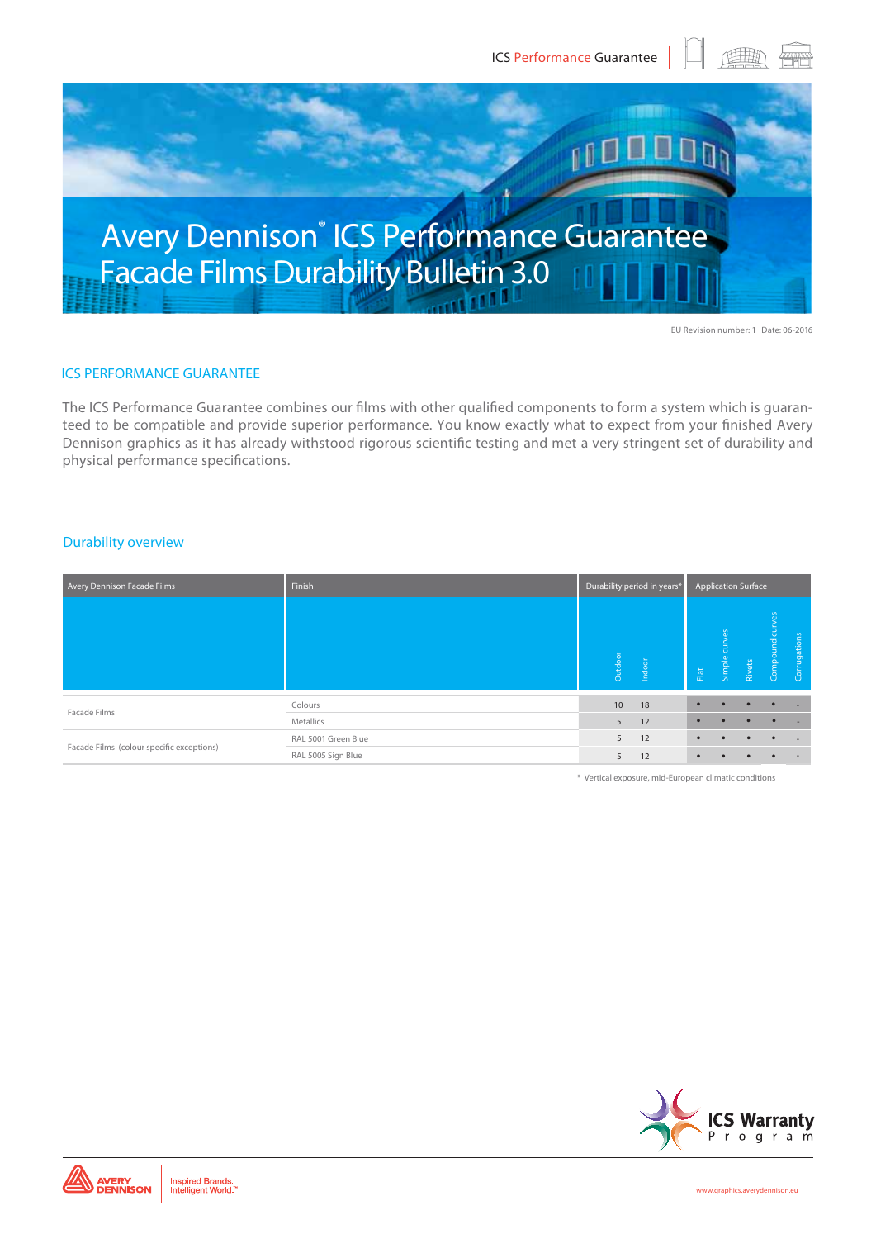

# Avery Dennison<sup>®</sup> ICS Performance Guarantee Facade Films Durability Bulletin 3.0

EU Revision number: 1 Date: 06-2016

## ICS PERFORMANCE GUARANTEE

The ICS Performance Guarantee combines our films with other qualified components to form a system which is guaranteed to be compatible and provide superior performance. You know exactly what to expect from your finished Avery Dennison graphics as it has already withstood rigorous scientific testing and met a very stringent set of durability and physical performance specifications.

#### Durability overview

| Avery Dennison Facade Films               | Finish              | Durability period in years* | <b>Application Surface</b> |                 |               |           |              |                          |
|-------------------------------------------|---------------------|-----------------------------|----------------------------|-----------------|---------------|-----------|--------------|--------------------------|
|                                           |                     | Outdoor                     | Indoor                     | $\mathsf{Flat}$ | Simple curves | Rivets    | Compound cur | Corrugations             |
| Facade Films                              | Colours             | 10                          | 18                         | ٠               |               |           |              | ۰.                       |
|                                           | Metallics           | 5                           | 12                         |                 |               |           |              | ۰.                       |
| Facade Films (colour specific exceptions) | RAL 5001 Green Blue | 5                           | 12                         | $\bullet$       | $\bullet$     | $\bullet$ | $\bullet$    | $\sim$                   |
|                                           | RAL 5005 Sign Blue  | 5                           | 12                         | $\bullet$       |               |           |              | $\overline{\phantom{0}}$ |

\* Vertical exposure, mid-European climatic conditions

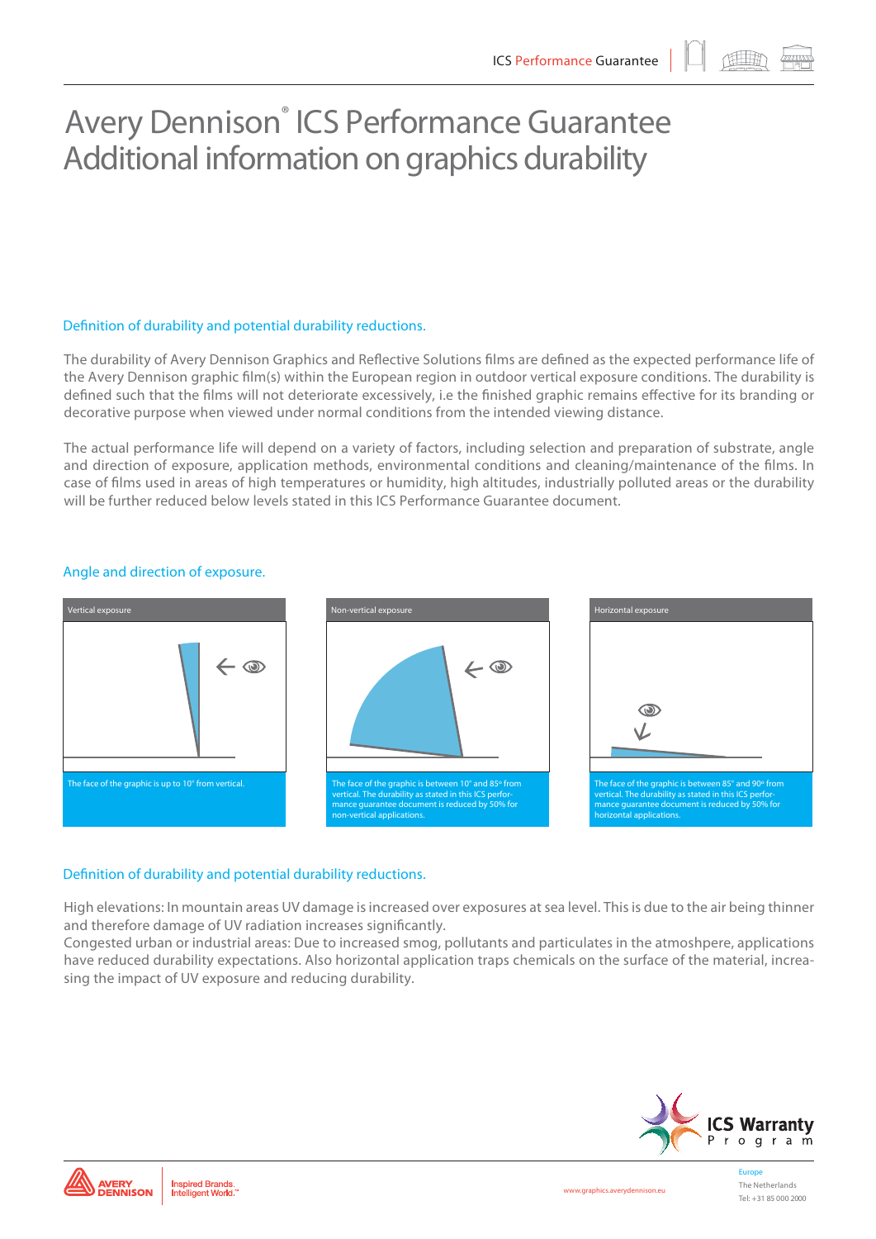## Avery Dennison<sup>®</sup> ICS Performance Guarantee Additional information on graphics durability

### Definition of durability and potential durability reductions.

The durability of Avery Dennison Graphics and Reflective Solutions films are defined as the expected performance life of the Avery Dennison graphic film(s) within the European region in outdoor vertical exposure conditions. The durability is defined such that the films will not deteriorate excessively, i.e the finished graphic remains effective for its branding or decorative purpose when viewed under normal conditions from the intended viewing distance.

The actual performance life will depend on a variety of factors, including selection and preparation of substrate, angle and direction of exposure, application methods, environmental conditions and cleaning/maintenance of the films. In case of films used in areas of high temperatures or humidity, high altitudes, industrially polluted areas or the durability will be further reduced below levels stated in this ICS Performance Guarantee document.



## Angle and direction of exposure.

### Definition of durability and potential durability reductions.

High elevations: In mountain areas UV damage is increased over exposures at sea level. This is due to the air being thinner and therefore damage of UV radiation increases significantly.

Congested urban or industrial areas: Due to increased smog, pollutants and particulates in the atmoshpere, applications have reduced durability expectations. Also horizontal application traps chemicals on the surface of the material, increasing the impact of UV exposure and reducing durability.



Europe The Netherlands Tel: +31 85 000 2000

Inspired Brands.<br>Intelligent World.

**AVERY<br>DENNISON** 

**www.graphics.averydennison.eu**